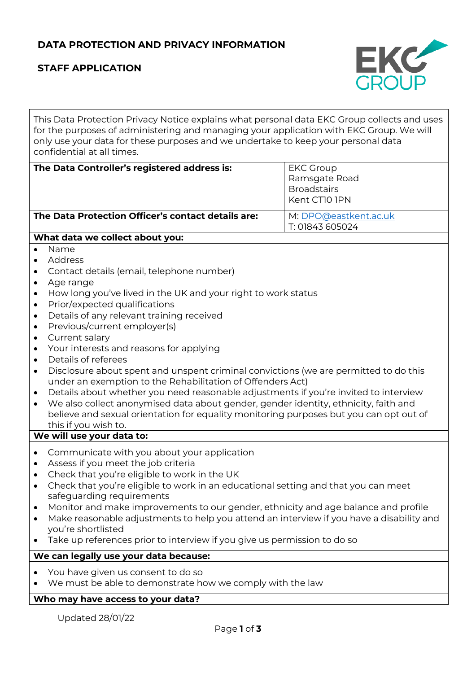## **DATA PROTECTION AND PRIVACY INFORMATION**

# **STAFF APPLICATION**



This Data Protection Privacy Notice explains what personal data EKC Group collects and uses for the purposes of administering and managing your application with EKC Group. We will only use your data for these purposes and we undertake to keep your personal data confidential at all times.

#### **The Data Controller's registered address is:** EKC Group

| The Data Protection Officer's contact details are: |  |  |
|----------------------------------------------------|--|--|

**The Data Protection Officer's contact details are:** M: [DPO@eastkent.ac.uk](mailto:DPO@eastkent.ac.uk) T: 01843 605024

Ramsgate Road **Broadstairs** Kent CT10 1PN

#### **What data we collect about you:**

- Name
- Address
- Contact details (email, telephone number)
- Age range
- How long you've lived in the UK and your right to work status
- Prior/expected qualifications
- Details of any relevant training received
- Previous/current employer(s)
- Current salary
- Your interests and reasons for applying
- Details of referees
- Disclosure about spent and unspent criminal convictions (we are permitted to do this under an exemption to the Rehabilitation of Offenders Act)
- Details about whether you need reasonable adjustments if you're invited to interview
- We also collect anonymised data about gender, gender identity, ethnicity, faith and believe and sexual orientation for equality monitoring purposes but you can opt out of this if you wish to.

#### **We will use your data to:**

- Communicate with you about your application
- Assess if you meet the job criteria
- Check that you're eligible to work in the UK
- Check that you're eligible to work in an educational setting and that you can meet safeguarding requirements
- Monitor and make improvements to our gender, ethnicity and age balance and profile
- Make reasonable adjustments to help you attend an interview if you have a disability and you're shortlisted
- Take up references prior to interview if you give us permission to do so

## **We can legally use your data because:**

- You have given us consent to do so
- We must be able to demonstrate how we comply with the law

## **Who may have access to your data?**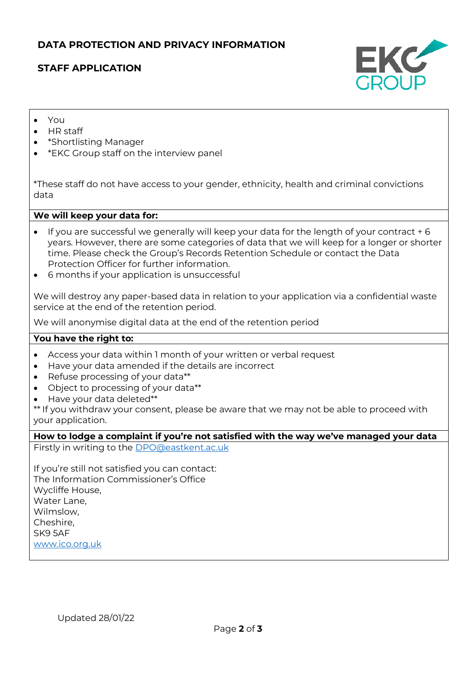### **DATA PROTECTION AND PRIVACY INFORMATION**

### **STAFF APPLICATION**



- You
- HR staff
- \*Shortlisting Manager
- \*EKC Group staff on the interview panel

\*These staff do not have access to your gender, ethnicity, health and criminal convictions data

#### **We will keep your data for:**

- If you are successful we generally will keep your data for the length of your contract + 6 years. However, there are some categories of data that we will keep for a longer or shorter time. Please check the Group's Records Retention Schedule or contact the Data Protection Officer for further information.
- 6 months if your application is unsuccessful

We will destroy any paper-based data in relation to your application via a confidential waste service at the end of the retention period.

We will anonymise digital data at the end of the retention period

#### **You have the right to:**

- Access your data within 1 month of your written or verbal request
- Have your data amended if the details are incorrect
- Refuse processing of your data\*\*
- Object to processing of your data\*\*
- Have your data deleted\*\*

\*\* If you withdraw your consent, please be aware that we may not be able to proceed with your application.

**How to lodge a complaint if you're not satisfied with the way we've managed your data** Firstly in writing to the [DPO@eastkent.ac.uk](mailto:DPO@eastkent.ac.uk)

If you're still not satisfied you can contact: The Information Commissioner's Office Wycliffe House, Water Lane, Wilmslow, Cheshire, SK9 5AF [www.ico.org.uk](http://www.ico.org.uk/)